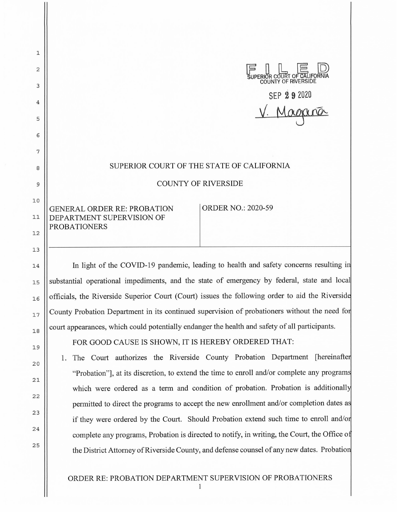| $\mathbf{1}$ |                                                                                       |
|--------------|---------------------------------------------------------------------------------------|
| 2            | SUPERIOR COURT OF CALIFORNIA                                                          |
| 3            |                                                                                       |
| 4            | $SEP$ 2 9 2020                                                                        |
| 5            |                                                                                       |
| 6            |                                                                                       |
| 7            |                                                                                       |
| 8            | SUPERIOR COURT OF THE STATE OF CALIFORNIA                                             |
| 9            | <b>COUNTY OF RIVERSIDE</b>                                                            |
| 10           | <b>ORDER NO.: 2020-59</b><br>GENERAL ORDER RE: PROBATION                              |
| 11           | DEPARTMENT SUPERVISION OF                                                             |
| 12           | <b>PROBATIONERS</b>                                                                   |
| 13           |                                                                                       |
| 14           | In light of the COVID-19 pandemic, leading to health and safety concerns resulting in |

10

12

13

14

15

16

17

18

19

20

21

22

23

24

2 5

substantial operational impediments, and the state of emergency by federal, state and local officials, the Riverside Superior Court (Court) issues the following order to aid the Riversid County Probation Department in its continued supervision of probationers without the need fo court appearances, which could potentially endanger the health and safety of all participants.

FOR GOOD CAUSE IS SHOWN, IT IS HEREBY ORDERED THAT:

1. The Court authorizes the Riverside County Probation Department [hereinafte "Probation"], at its discretion, to extend the time to enroll and/or complete any program which were ordered as a term and condition of probation. Probation is additionally permitted to direct the programs to accept the new enrollment and/or completion dates a if they were ordered by the Court. Should Probation extend such time to enroll and/o complete any programs, Probation is directed to notify, in writing, the Court, the Office o the District Attorney of Riverside County, and defense counsel of any new dates. Probatio

ORDER RE: PROBATION DEPARTMENT SUPERVISION OF PROBATIONERS

1